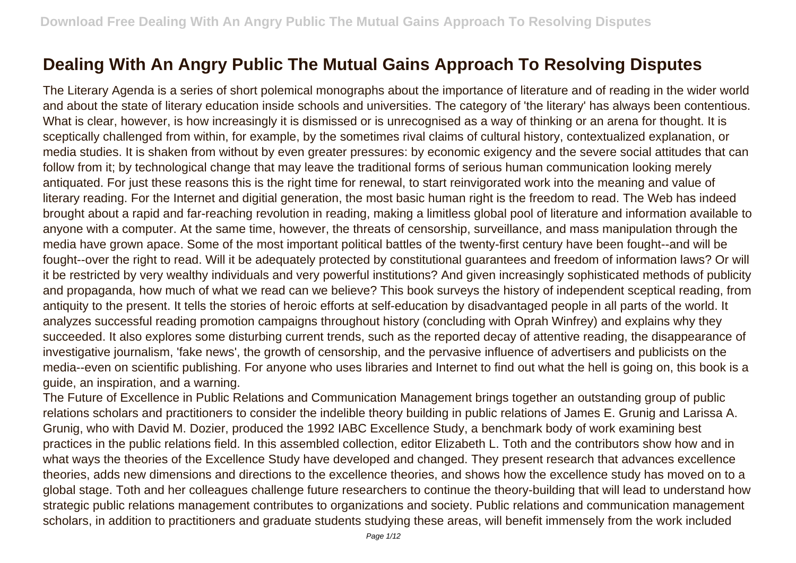## **Dealing With An Angry Public The Mutual Gains Approach To Resolving Disputes**

The Literary Agenda is a series of short polemical monographs about the importance of literature and of reading in the wider world and about the state of literary education inside schools and universities. The category of 'the literary' has always been contentious. What is clear, however, is how increasingly it is dismissed or is unrecognised as a way of thinking or an arena for thought. It is sceptically challenged from within, for example, by the sometimes rival claims of cultural history, contextualized explanation, or media studies. It is shaken from without by even greater pressures: by economic exigency and the severe social attitudes that can follow from it; by technological change that may leave the traditional forms of serious human communication looking merely antiquated. For just these reasons this is the right time for renewal, to start reinvigorated work into the meaning and value of literary reading. For the Internet and digitial generation, the most basic human right is the freedom to read. The Web has indeed brought about a rapid and far-reaching revolution in reading, making a limitless global pool of literature and information available to anyone with a computer. At the same time, however, the threats of censorship, surveillance, and mass manipulation through the media have grown apace. Some of the most important political battles of the twenty-first century have been fought--and will be fought--over the right to read. Will it be adequately protected by constitutional guarantees and freedom of information laws? Or will it be restricted by very wealthy individuals and very powerful institutions? And given increasingly sophisticated methods of publicity and propaganda, how much of what we read can we believe? This book surveys the history of independent sceptical reading, from antiquity to the present. It tells the stories of heroic efforts at self-education by disadvantaged people in all parts of the world. It analyzes successful reading promotion campaigns throughout history (concluding with Oprah Winfrey) and explains why they succeeded. It also explores some disturbing current trends, such as the reported decay of attentive reading, the disappearance of investigative journalism, 'fake news', the growth of censorship, and the pervasive influence of advertisers and publicists on the media--even on scientific publishing. For anyone who uses libraries and Internet to find out what the hell is going on, this book is a guide, an inspiration, and a warning.

The Future of Excellence in Public Relations and Communication Management brings together an outstanding group of public relations scholars and practitioners to consider the indelible theory building in public relations of James E. Grunig and Larissa A. Grunig, who with David M. Dozier, produced the 1992 IABC Excellence Study, a benchmark body of work examining best practices in the public relations field. In this assembled collection, editor Elizabeth L. Toth and the contributors show how and in what ways the theories of the Excellence Study have developed and changed. They present research that advances excellence theories, adds new dimensions and directions to the excellence theories, and shows how the excellence study has moved on to a global stage. Toth and her colleagues challenge future researchers to continue the theory-building that will lead to understand how strategic public relations management contributes to organizations and society. Public relations and communication management scholars, in addition to practitioners and graduate students studying these areas, will benefit immensely from the work included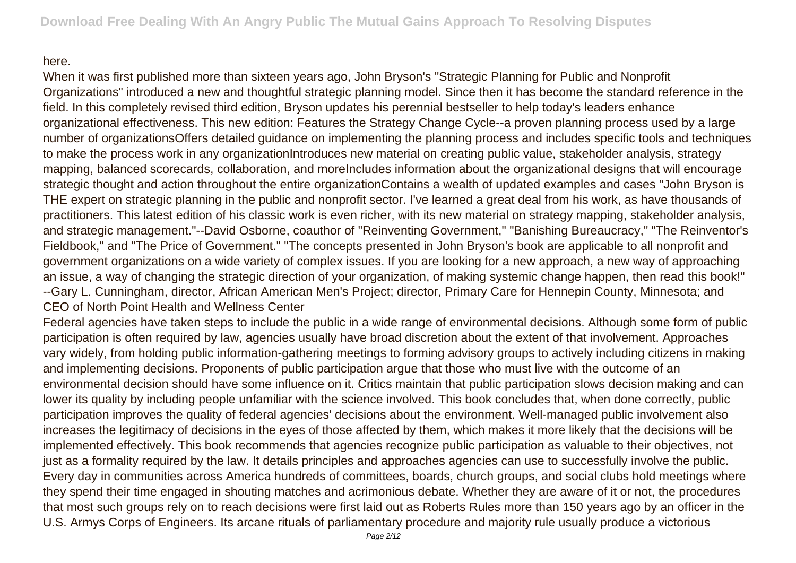## here.

When it was first published more than sixteen years ago, John Bryson's "Strategic Planning for Public and Nonprofit Organizations" introduced a new and thoughtful strategic planning model. Since then it has become the standard reference in the field. In this completely revised third edition, Bryson updates his perennial bestseller to help today's leaders enhance organizational effectiveness. This new edition: Features the Strategy Change Cycle--a proven planning process used by a large number of organizationsOffers detailed guidance on implementing the planning process and includes specific tools and techniques to make the process work in any organizationIntroduces new material on creating public value, stakeholder analysis, strategy mapping, balanced scorecards, collaboration, and moreIncludes information about the organizational designs that will encourage strategic thought and action throughout the entire organizationContains a wealth of updated examples and cases "John Bryson is THE expert on strategic planning in the public and nonprofit sector. I've learned a great deal from his work, as have thousands of practitioners. This latest edition of his classic work is even richer, with its new material on strategy mapping, stakeholder analysis, and strategic management."--David Osborne, coauthor of "Reinventing Government," "Banishing Bureaucracy," "The Reinventor's Fieldbook," and "The Price of Government." "The concepts presented in John Bryson's book are applicable to all nonprofit and government organizations on a wide variety of complex issues. If you are looking for a new approach, a new way of approaching an issue, a way of changing the strategic direction of your organization, of making systemic change happen, then read this book!" --Gary L. Cunningham, director, African American Men's Project; director, Primary Care for Hennepin County, Minnesota; and CEO of North Point Health and Wellness Center

Federal agencies have taken steps to include the public in a wide range of environmental decisions. Although some form of public participation is often required by law, agencies usually have broad discretion about the extent of that involvement. Approaches vary widely, from holding public information-gathering meetings to forming advisory groups to actively including citizens in making and implementing decisions. Proponents of public participation argue that those who must live with the outcome of an environmental decision should have some influence on it. Critics maintain that public participation slows decision making and can lower its quality by including people unfamiliar with the science involved. This book concludes that, when done correctly, public participation improves the quality of federal agencies' decisions about the environment. Well-managed public involvement also increases the legitimacy of decisions in the eyes of those affected by them, which makes it more likely that the decisions will be implemented effectively. This book recommends that agencies recognize public participation as valuable to their objectives, not just as a formality required by the law. It details principles and approaches agencies can use to successfully involve the public. Every day in communities across America hundreds of committees, boards, church groups, and social clubs hold meetings where they spend their time engaged in shouting matches and acrimonious debate. Whether they are aware of it or not, the procedures that most such groups rely on to reach decisions were first laid out as Roberts Rules more than 150 years ago by an officer in the U.S. Armys Corps of Engineers. Its arcane rituals of parliamentary procedure and majority rule usually produce a victorious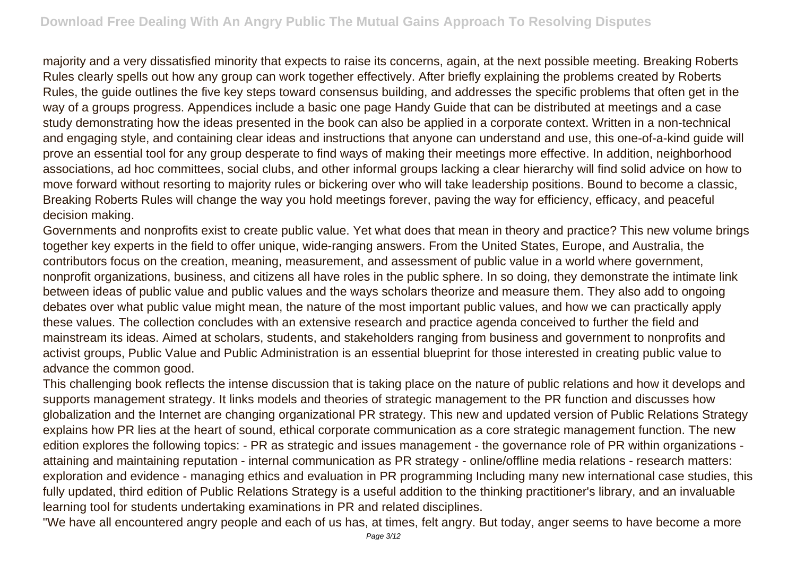majority and a very dissatisfied minority that expects to raise its concerns, again, at the next possible meeting. Breaking Roberts Rules clearly spells out how any group can work together effectively. After briefly explaining the problems created by Roberts Rules, the guide outlines the five key steps toward consensus building, and addresses the specific problems that often get in the way of a groups progress. Appendices include a basic one page Handy Guide that can be distributed at meetings and a case study demonstrating how the ideas presented in the book can also be applied in a corporate context. Written in a non-technical and engaging style, and containing clear ideas and instructions that anyone can understand and use, this one-of-a-kind guide will prove an essential tool for any group desperate to find ways of making their meetings more effective. In addition, neighborhood associations, ad hoc committees, social clubs, and other informal groups lacking a clear hierarchy will find solid advice on how to move forward without resorting to majority rules or bickering over who will take leadership positions. Bound to become a classic, Breaking Roberts Rules will change the way you hold meetings forever, paving the way for efficiency, efficacy, and peaceful decision making.

Governments and nonprofits exist to create public value. Yet what does that mean in theory and practice? This new volume brings together key experts in the field to offer unique, wide-ranging answers. From the United States, Europe, and Australia, the contributors focus on the creation, meaning, measurement, and assessment of public value in a world where government, nonprofit organizations, business, and citizens all have roles in the public sphere. In so doing, they demonstrate the intimate link between ideas of public value and public values and the ways scholars theorize and measure them. They also add to ongoing debates over what public value might mean, the nature of the most important public values, and how we can practically apply these values. The collection concludes with an extensive research and practice agenda conceived to further the field and mainstream its ideas. Aimed at scholars, students, and stakeholders ranging from business and government to nonprofits and activist groups, Public Value and Public Administration is an essential blueprint for those interested in creating public value to advance the common good.

This challenging book reflects the intense discussion that is taking place on the nature of public relations and how it develops and supports management strategy. It links models and theories of strategic management to the PR function and discusses how globalization and the Internet are changing organizational PR strategy. This new and updated version of Public Relations Strategy explains how PR lies at the heart of sound, ethical corporate communication as a core strategic management function. The new edition explores the following topics: - PR as strategic and issues management - the governance role of PR within organizations attaining and maintaining reputation - internal communication as PR strategy - online/offline media relations - research matters: exploration and evidence - managing ethics and evaluation in PR programming Including many new international case studies, this fully updated, third edition of Public Relations Strategy is a useful addition to the thinking practitioner's library, and an invaluable learning tool for students undertaking examinations in PR and related disciplines.

"We have all encountered angry people and each of us has, at times, felt angry. But today, anger seems to have become a more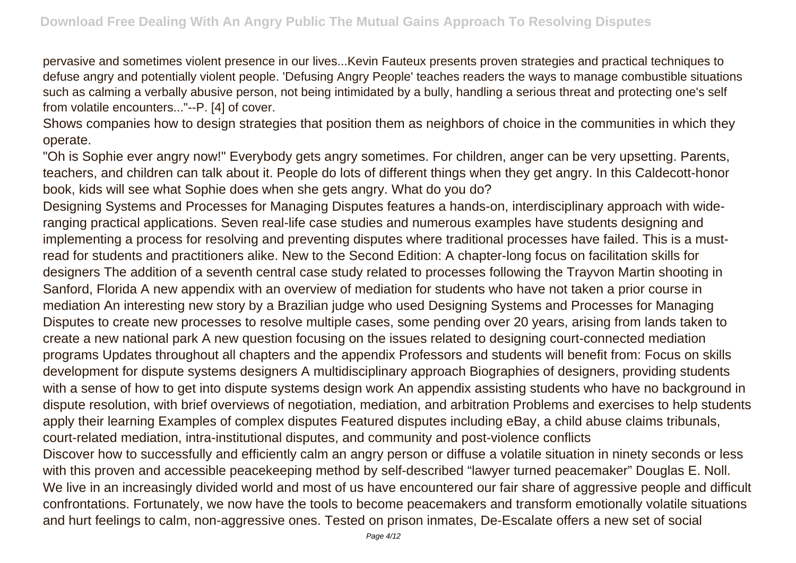pervasive and sometimes violent presence in our lives...Kevin Fauteux presents proven strategies and practical techniques to defuse angry and potentially violent people. 'Defusing Angry People' teaches readers the ways to manage combustible situations such as calming a verbally abusive person, not being intimidated by a bully, handling a serious threat and protecting one's self from volatile encounters..."--P. [4] of cover.

Shows companies how to design strategies that position them as neighbors of choice in the communities in which they operate.

"Oh is Sophie ever angry now!" Everybody gets angry sometimes. For children, anger can be very upsetting. Parents, teachers, and children can talk about it. People do lots of different things when they get angry. In this Caldecott-honor book, kids will see what Sophie does when she gets angry. What do you do?

Designing Systems and Processes for Managing Disputes features a hands-on, interdisciplinary approach with wideranging practical applications. Seven real-life case studies and numerous examples have students designing and implementing a process for resolving and preventing disputes where traditional processes have failed. This is a mustread for students and practitioners alike. New to the Second Edition: A chapter-long focus on facilitation skills for designers The addition of a seventh central case study related to processes following the Trayvon Martin shooting in Sanford, Florida A new appendix with an overview of mediation for students who have not taken a prior course in mediation An interesting new story by a Brazilian judge who used Designing Systems and Processes for Managing Disputes to create new processes to resolve multiple cases, some pending over 20 years, arising from lands taken to create a new national park A new question focusing on the issues related to designing court-connected mediation programs Updates throughout all chapters and the appendix Professors and students will benefit from: Focus on skills development for dispute systems designers A multidisciplinary approach Biographies of designers, providing students with a sense of how to get into dispute systems design work An appendix assisting students who have no background in dispute resolution, with brief overviews of negotiation, mediation, and arbitration Problems and exercises to help students apply their learning Examples of complex disputes Featured disputes including eBay, a child abuse claims tribunals, court-related mediation, intra-institutional disputes, and community and post-violence conflicts Discover how to successfully and efficiently calm an angry person or diffuse a volatile situation in ninety seconds or less with this proven and accessible peacekeeping method by self-described "lawyer turned peacemaker" Douglas E. Noll. We live in an increasingly divided world and most of us have encountered our fair share of aggressive people and difficult confrontations. Fortunately, we now have the tools to become peacemakers and transform emotionally volatile situations and hurt feelings to calm, non-aggressive ones. Tested on prison inmates, De-Escalate offers a new set of social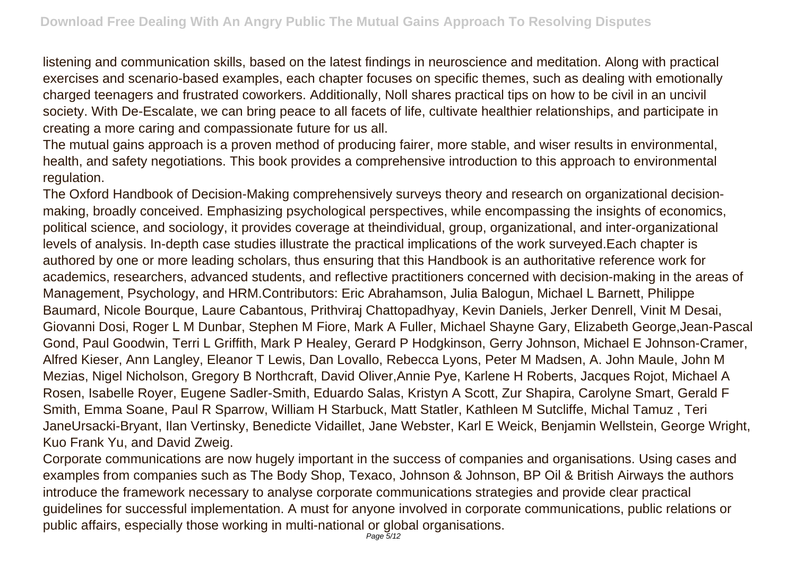listening and communication skills, based on the latest findings in neuroscience and meditation. Along with practical exercises and scenario-based examples, each chapter focuses on specific themes, such as dealing with emotionally charged teenagers and frustrated coworkers. Additionally, Noll shares practical tips on how to be civil in an uncivil society. With De-Escalate, we can bring peace to all facets of life, cultivate healthier relationships, and participate in creating a more caring and compassionate future for us all.

The mutual gains approach is a proven method of producing fairer, more stable, and wiser results in environmental, health, and safety negotiations. This book provides a comprehensive introduction to this approach to environmental regulation.

The Oxford Handbook of Decision-Making comprehensively surveys theory and research on organizational decisionmaking, broadly conceived. Emphasizing psychological perspectives, while encompassing the insights of economics, political science, and sociology, it provides coverage at theindividual, group, organizational, and inter-organizational levels of analysis. In-depth case studies illustrate the practical implications of the work surveyed.Each chapter is authored by one or more leading scholars, thus ensuring that this Handbook is an authoritative reference work for academics, researchers, advanced students, and reflective practitioners concerned with decision-making in the areas of Management, Psychology, and HRM.Contributors: Eric Abrahamson, Julia Balogun, Michael L Barnett, Philippe Baumard, Nicole Bourque, Laure Cabantous, Prithviraj Chattopadhyay, Kevin Daniels, Jerker Denrell, Vinit M Desai, Giovanni Dosi, Roger L M Dunbar, Stephen M Fiore, Mark A Fuller, Michael Shayne Gary, Elizabeth George,Jean-Pascal Gond, Paul Goodwin, Terri L Griffith, Mark P Healey, Gerard P Hodgkinson, Gerry Johnson, Michael E Johnson-Cramer, Alfred Kieser, Ann Langley, Eleanor T Lewis, Dan Lovallo, Rebecca Lyons, Peter M Madsen, A. John Maule, John M Mezias, Nigel Nicholson, Gregory B Northcraft, David Oliver,Annie Pye, Karlene H Roberts, Jacques Rojot, Michael A Rosen, Isabelle Royer, Eugene Sadler-Smith, Eduardo Salas, Kristyn A Scott, Zur Shapira, Carolyne Smart, Gerald F Smith, Emma Soane, Paul R Sparrow, William H Starbuck, Matt Statler, Kathleen M Sutcliffe, Michal Tamuz , Teri JaneUrsacki-Bryant, Ilan Vertinsky, Benedicte Vidaillet, Jane Webster, Karl E Weick, Benjamin Wellstein, George Wright, Kuo Frank Yu, and David Zweig.

Corporate communications are now hugely important in the success of companies and organisations. Using cases and examples from companies such as The Body Shop, Texaco, Johnson & Johnson, BP Oil & British Airways the authors introduce the framework necessary to analyse corporate communications strategies and provide clear practical guidelines for successful implementation. A must for anyone involved in corporate communications, public relations or public affairs, especially those working in multi-national or global organisations.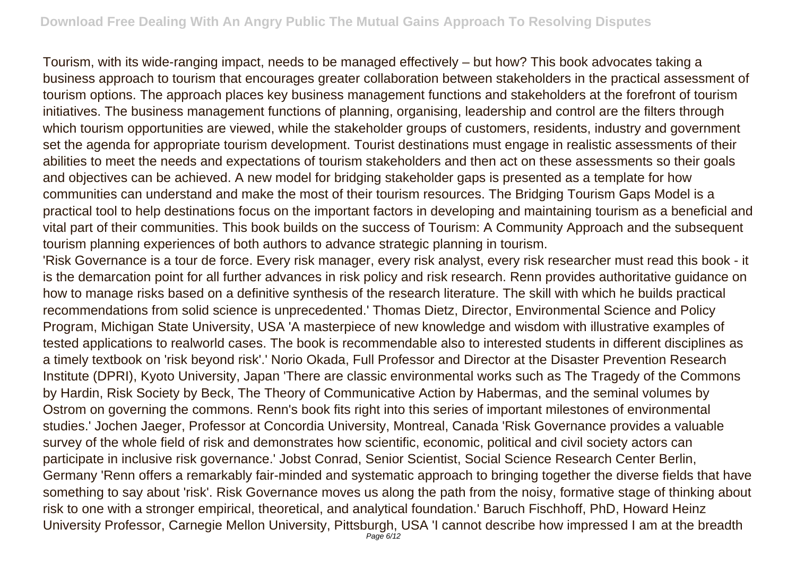Tourism, with its wide-ranging impact, needs to be managed effectively – but how? This book advocates taking a business approach to tourism that encourages greater collaboration between stakeholders in the practical assessment of tourism options. The approach places key business management functions and stakeholders at the forefront of tourism initiatives. The business management functions of planning, organising, leadership and control are the filters through which tourism opportunities are viewed, while the stakeholder groups of customers, residents, industry and government set the agenda for appropriate tourism development. Tourist destinations must engage in realistic assessments of their abilities to meet the needs and expectations of tourism stakeholders and then act on these assessments so their goals and objectives can be achieved. A new model for bridging stakeholder gaps is presented as a template for how communities can understand and make the most of their tourism resources. The Bridging Tourism Gaps Model is a practical tool to help destinations focus on the important factors in developing and maintaining tourism as a beneficial and vital part of their communities. This book builds on the success of Tourism: A Community Approach and the subsequent tourism planning experiences of both authors to advance strategic planning in tourism.

'Risk Governance is a tour de force. Every risk manager, every risk analyst, every risk researcher must read this book - it is the demarcation point for all further advances in risk policy and risk research. Renn provides authoritative guidance on how to manage risks based on a definitive synthesis of the research literature. The skill with which he builds practical recommendations from solid science is unprecedented.' Thomas Dietz, Director, Environmental Science and Policy Program, Michigan State University, USA 'A masterpiece of new knowledge and wisdom with illustrative examples of tested applications to realworld cases. The book is recommendable also to interested students in different disciplines as a timely textbook on 'risk beyond risk'.' Norio Okada, Full Professor and Director at the Disaster Prevention Research Institute (DPRI), Kyoto University, Japan 'There are classic environmental works such as The Tragedy of the Commons by Hardin, Risk Society by Beck, The Theory of Communicative Action by Habermas, and the seminal volumes by Ostrom on governing the commons. Renn's book fits right into this series of important milestones of environmental studies.' Jochen Jaeger, Professor at Concordia University, Montreal, Canada 'Risk Governance provides a valuable survey of the whole field of risk and demonstrates how scientific, economic, political and civil society actors can participate in inclusive risk governance.' Jobst Conrad, Senior Scientist, Social Science Research Center Berlin, Germany 'Renn offers a remarkably fair-minded and systematic approach to bringing together the diverse fields that have something to say about 'risk'. Risk Governance moves us along the path from the noisy, formative stage of thinking about risk to one with a stronger empirical, theoretical, and analytical foundation.' Baruch Fischhoff, PhD, Howard Heinz University Professor, Carnegie Mellon University, Pittsburgh, USA 'I cannot describe how impressed I am at the breadth Page  $6/12$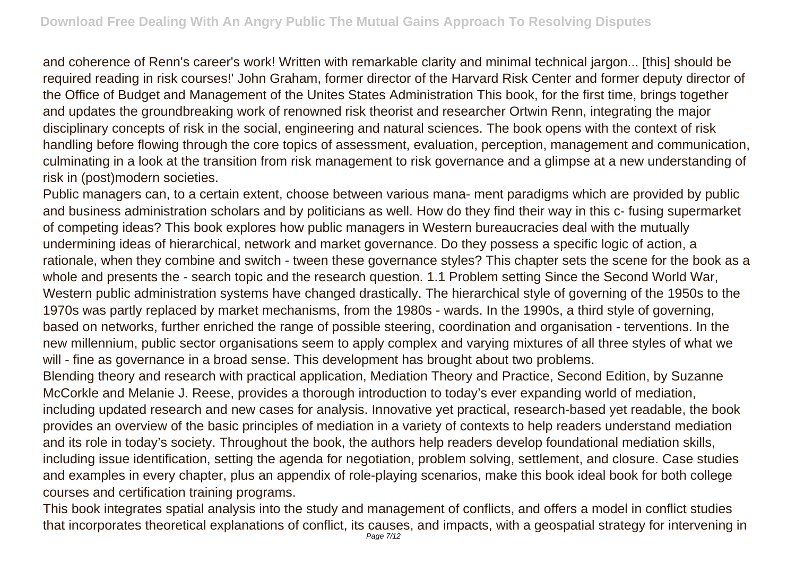and coherence of Renn's career's work! Written with remarkable clarity and minimal technical jargon... [this] should be required reading in risk courses!' John Graham, former director of the Harvard Risk Center and former deputy director of the Office of Budget and Management of the Unites States Administration This book, for the first time, brings together and updates the groundbreaking work of renowned risk theorist and researcher Ortwin Renn, integrating the major disciplinary concepts of risk in the social, engineering and natural sciences. The book opens with the context of risk handling before flowing through the core topics of assessment, evaluation, perception, management and communication, culminating in a look at the transition from risk management to risk governance and a glimpse at a new understanding of risk in (post)modern societies.

Public managers can, to a certain extent, choose between various mana- ment paradigms which are provided by public and business administration scholars and by politicians as well. How do they find their way in this c- fusing supermarket of competing ideas? This book explores how public managers in Western bureaucracies deal with the mutually undermining ideas of hierarchical, network and market governance. Do they possess a specific logic of action, a rationale, when they combine and switch - tween these governance styles? This chapter sets the scene for the book as a whole and presents the - search topic and the research question. 1.1 Problem setting Since the Second World War, Western public administration systems have changed drastically. The hierarchical style of governing of the 1950s to the 1970s was partly replaced by market mechanisms, from the 1980s - wards. In the 1990s, a third style of governing, based on networks, further enriched the range of possible steering, coordination and organisation - terventions. In the new millennium, public sector organisations seem to apply complex and varying mixtures of all three styles of what we will - fine as governance in a broad sense. This development has brought about two problems.

Blending theory and research with practical application, Mediation Theory and Practice, Second Edition, by Suzanne McCorkle and Melanie J. Reese, provides a thorough introduction to today's ever expanding world of mediation, including updated research and new cases for analysis. Innovative yet practical, research-based yet readable, the book provides an overview of the basic principles of mediation in a variety of contexts to help readers understand mediation and its role in today's society. Throughout the book, the authors help readers develop foundational mediation skills, including issue identification, setting the agenda for negotiation, problem solving, settlement, and closure. Case studies and examples in every chapter, plus an appendix of role-playing scenarios, make this book ideal book for both college courses and certification training programs.

This book integrates spatial analysis into the study and management of conflicts, and offers a model in conflict studies that incorporates theoretical explanations of conflict, its causes, and impacts, with a geospatial strategy for intervening in Page 7/12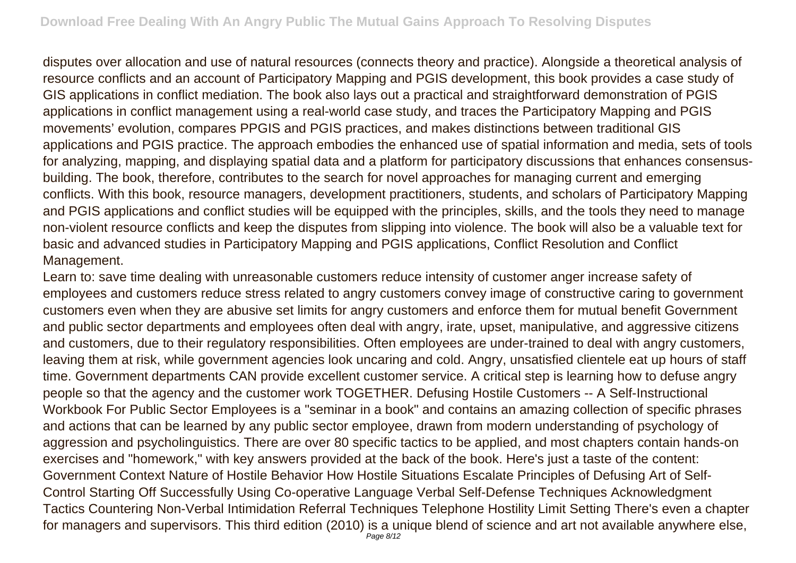disputes over allocation and use of natural resources (connects theory and practice). Alongside a theoretical analysis of resource conflicts and an account of Participatory Mapping and PGIS development, this book provides a case study of GIS applications in conflict mediation. The book also lays out a practical and straightforward demonstration of PGIS applications in conflict management using a real-world case study, and traces the Participatory Mapping and PGIS movements' evolution, compares PPGIS and PGIS practices, and makes distinctions between traditional GIS applications and PGIS practice. The approach embodies the enhanced use of spatial information and media, sets of tools for analyzing, mapping, and displaying spatial data and a platform for participatory discussions that enhances consensusbuilding. The book, therefore, contributes to the search for novel approaches for managing current and emerging conflicts. With this book, resource managers, development practitioners, students, and scholars of Participatory Mapping and PGIS applications and conflict studies will be equipped with the principles, skills, and the tools they need to manage non-violent resource conflicts and keep the disputes from slipping into violence. The book will also be a valuable text for basic and advanced studies in Participatory Mapping and PGIS applications, Conflict Resolution and Conflict Management.

Learn to: save time dealing with unreasonable customers reduce intensity of customer anger increase safety of employees and customers reduce stress related to angry customers convey image of constructive caring to government customers even when they are abusive set limits for angry customers and enforce them for mutual benefit Government and public sector departments and employees often deal with angry, irate, upset, manipulative, and aggressive citizens and customers, due to their regulatory responsibilities. Often employees are under-trained to deal with angry customers, leaving them at risk, while government agencies look uncaring and cold. Angry, unsatisfied clientele eat up hours of staff time. Government departments CAN provide excellent customer service. A critical step is learning how to defuse angry people so that the agency and the customer work TOGETHER. Defusing Hostile Customers -- A Self-Instructional Workbook For Public Sector Employees is a "seminar in a book" and contains an amazing collection of specific phrases and actions that can be learned by any public sector employee, drawn from modern understanding of psychology of aggression and psycholinguistics. There are over 80 specific tactics to be applied, and most chapters contain hands-on exercises and "homework," with key answers provided at the back of the book. Here's just a taste of the content: Government Context Nature of Hostile Behavior How Hostile Situations Escalate Principles of Defusing Art of Self-Control Starting Off Successfully Using Co-operative Language Verbal Self-Defense Techniques Acknowledgment Tactics Countering Non-Verbal Intimidation Referral Techniques Telephone Hostility Limit Setting There's even a chapter for managers and supervisors. This third edition (2010) is a unique blend of science and art not available anywhere else,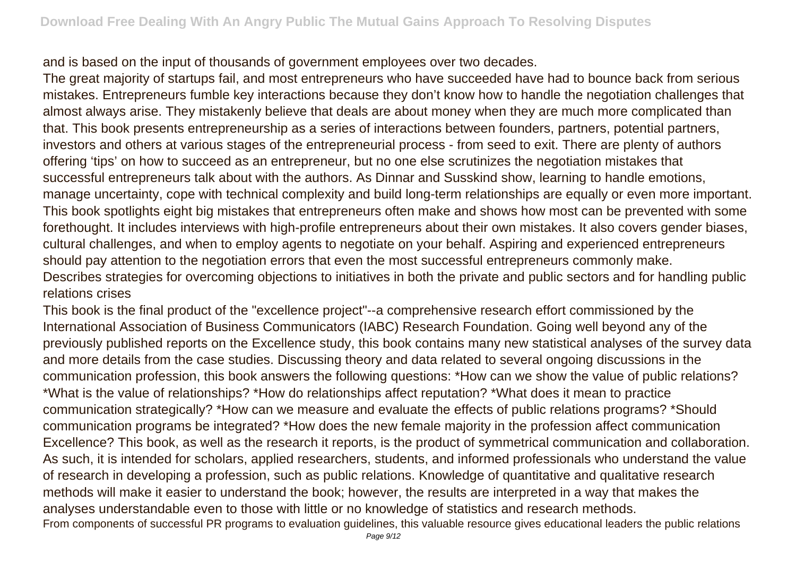and is based on the input of thousands of government employees over two decades.

The great majority of startups fail, and most entrepreneurs who have succeeded have had to bounce back from serious mistakes. Entrepreneurs fumble key interactions because they don't know how to handle the negotiation challenges that almost always arise. They mistakenly believe that deals are about money when they are much more complicated than that. This book presents entrepreneurship as a series of interactions between founders, partners, potential partners, investors and others at various stages of the entrepreneurial process - from seed to exit. There are plenty of authors offering 'tips' on how to succeed as an entrepreneur, but no one else scrutinizes the negotiation mistakes that successful entrepreneurs talk about with the authors. As Dinnar and Susskind show, learning to handle emotions, manage uncertainty, cope with technical complexity and build long-term relationships are equally or even more important. This book spotlights eight big mistakes that entrepreneurs often make and shows how most can be prevented with some forethought. It includes interviews with high-profile entrepreneurs about their own mistakes. It also covers gender biases, cultural challenges, and when to employ agents to negotiate on your behalf. Aspiring and experienced entrepreneurs should pay attention to the negotiation errors that even the most successful entrepreneurs commonly make. Describes strategies for overcoming objections to initiatives in both the private and public sectors and for handling public relations crises

This book is the final product of the "excellence project"--a comprehensive research effort commissioned by the International Association of Business Communicators (IABC) Research Foundation. Going well beyond any of the previously published reports on the Excellence study, this book contains many new statistical analyses of the survey data and more details from the case studies. Discussing theory and data related to several ongoing discussions in the communication profession, this book answers the following questions: \*How can we show the value of public relations? \*What is the value of relationships? \*How do relationships affect reputation? \*What does it mean to practice communication strategically? \*How can we measure and evaluate the effects of public relations programs? \*Should communication programs be integrated? \*How does the new female majority in the profession affect communication Excellence? This book, as well as the research it reports, is the product of symmetrical communication and collaboration. As such, it is intended for scholars, applied researchers, students, and informed professionals who understand the value of research in developing a profession, such as public relations. Knowledge of quantitative and qualitative research methods will make it easier to understand the book; however, the results are interpreted in a way that makes the analyses understandable even to those with little or no knowledge of statistics and research methods. From components of successful PR programs to evaluation guidelines, this valuable resource gives educational leaders the public relations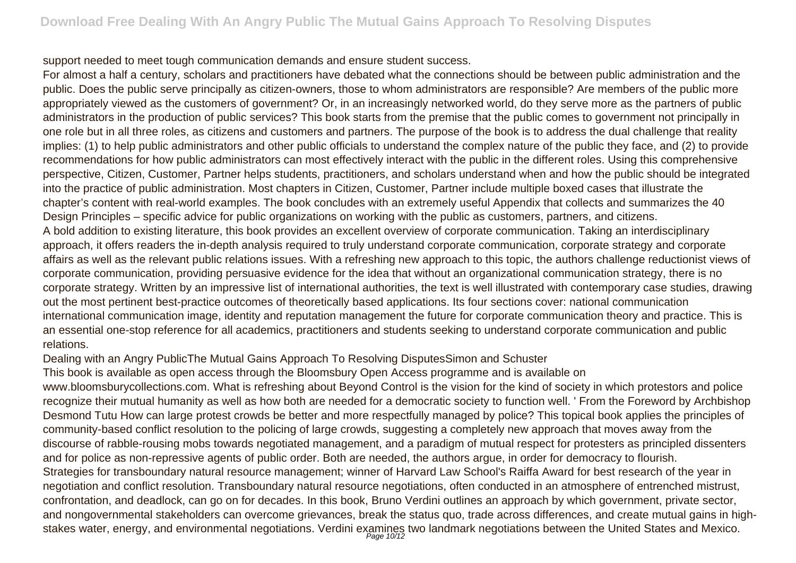support needed to meet tough communication demands and ensure student success.

For almost a half a century, scholars and practitioners have debated what the connections should be between public administration and the public. Does the public serve principally as citizen-owners, those to whom administrators are responsible? Are members of the public more appropriately viewed as the customers of government? Or, in an increasingly networked world, do they serve more as the partners of public administrators in the production of public services? This book starts from the premise that the public comes to government not principally in one role but in all three roles, as citizens and customers and partners. The purpose of the book is to address the dual challenge that reality implies: (1) to help public administrators and other public officials to understand the complex nature of the public they face, and (2) to provide recommendations for how public administrators can most effectively interact with the public in the different roles. Using this comprehensive perspective, Citizen, Customer, Partner helps students, practitioners, and scholars understand when and how the public should be integrated into the practice of public administration. Most chapters in Citizen, Customer, Partner include multiple boxed cases that illustrate the chapter's content with real-world examples. The book concludes with an extremely useful Appendix that collects and summarizes the 40 Design Principles – specific advice for public organizations on working with the public as customers, partners, and citizens. A bold addition to existing literature, this book provides an excellent overview of corporate communication. Taking an interdisciplinary approach, it offers readers the in-depth analysis required to truly understand corporate communication, corporate strategy and corporate affairs as well as the relevant public relations issues. With a refreshing new approach to this topic, the authors challenge reductionist views of corporate communication, providing persuasive evidence for the idea that without an organizational communication strategy, there is no corporate strategy. Written by an impressive list of international authorities, the text is well illustrated with contemporary case studies, drawing out the most pertinent best-practice outcomes of theoretically based applications. Its four sections cover: national communication international communication image, identity and reputation management the future for corporate communication theory and practice. This is an essential one-stop reference for all academics, practitioners and students seeking to understand corporate communication and public relations.

Dealing with an Angry PublicThe Mutual Gains Approach To Resolving DisputesSimon and Schuster

This book is available as open access through the Bloomsbury Open Access programme and is available on

www.bloomsburycollections.com. What is refreshing about Beyond Control is the vision for the kind of society in which protestors and police recognize their mutual humanity as well as how both are needed for a democratic society to function well. ' From the Foreword by Archbishop Desmond Tutu How can large protest crowds be better and more respectfully managed by police? This topical book applies the principles of community-based conflict resolution to the policing of large crowds, suggesting a completely new approach that moves away from the discourse of rabble-rousing mobs towards negotiated management, and a paradigm of mutual respect for protesters as principled dissenters and for police as non-repressive agents of public order. Both are needed, the authors argue, in order for democracy to flourish. Strategies for transboundary natural resource management; winner of Harvard Law School's Raiffa Award for best research of the year in negotiation and conflict resolution. Transboundary natural resource negotiations, often conducted in an atmosphere of entrenched mistrust, confrontation, and deadlock, can go on for decades. In this book, Bruno Verdini outlines an approach by which government, private sector, and nongovernmental stakeholders can overcome grievances, break the status quo, trade across differences, and create mutual gains in highstakes water, energy, and environmental negotiations. Verdini examines two landmark negotiations between the United States and Mexico.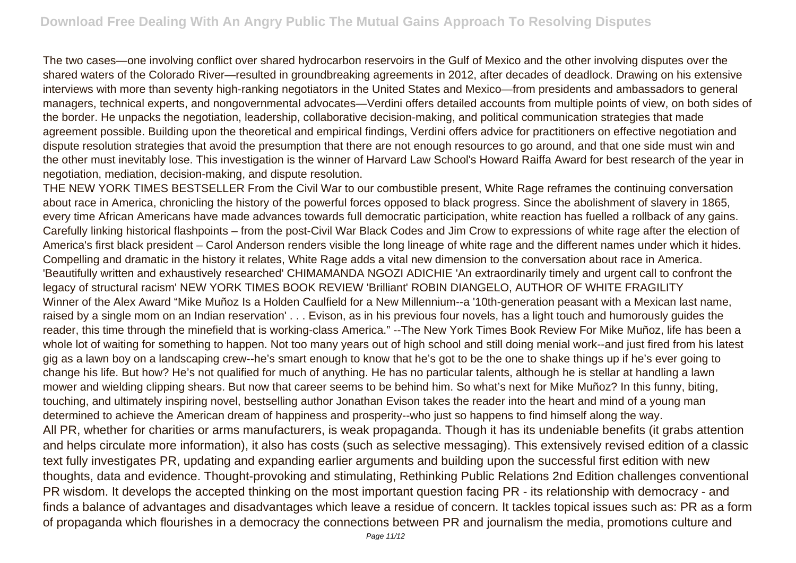The two cases—one involving conflict over shared hydrocarbon reservoirs in the Gulf of Mexico and the other involving disputes over the shared waters of the Colorado River—resulted in groundbreaking agreements in 2012, after decades of deadlock. Drawing on his extensive interviews with more than seventy high-ranking negotiators in the United States and Mexico—from presidents and ambassadors to general managers, technical experts, and nongovernmental advocates—Verdini offers detailed accounts from multiple points of view, on both sides of the border. He unpacks the negotiation, leadership, collaborative decision-making, and political communication strategies that made agreement possible. Building upon the theoretical and empirical findings, Verdini offers advice for practitioners on effective negotiation and dispute resolution strategies that avoid the presumption that there are not enough resources to go around, and that one side must win and the other must inevitably lose. This investigation is the winner of Harvard Law School's Howard Raiffa Award for best research of the year in negotiation, mediation, decision-making, and dispute resolution.

THE NEW YORK TIMES BESTSELLER From the Civil War to our combustible present, White Rage reframes the continuing conversation about race in America, chronicling the history of the powerful forces opposed to black progress. Since the abolishment of slavery in 1865, every time African Americans have made advances towards full democratic participation, white reaction has fuelled a rollback of any gains. Carefully linking historical flashpoints – from the post-Civil War Black Codes and Jim Crow to expressions of white rage after the election of America's first black president – Carol Anderson renders visible the long lineage of white rage and the different names under which it hides. Compelling and dramatic in the history it relates, White Rage adds a vital new dimension to the conversation about race in America. 'Beautifully written and exhaustively researched' CHIMAMANDA NGOZI ADICHIE 'An extraordinarily timely and urgent call to confront the legacy of structural racism' NEW YORK TIMES BOOK REVIEW 'Brilliant' ROBIN DIANGELO, AUTHOR OF WHITE FRAGILITY Winner of the Alex Award "Mike Muñoz Is a Holden Caulfield for a New Millennium--a '10th-generation peasant with a Mexican last name, raised by a single mom on an Indian reservation' . . . Evison, as in his previous four novels, has a light touch and humorously guides the reader, this time through the minefield that is working-class America." --The New York Times Book Review For Mike Muñoz, life has been a whole lot of waiting for something to happen. Not too many years out of high school and still doing menial work--and just fired from his latest gig as a lawn boy on a landscaping crew--he's smart enough to know that he's got to be the one to shake things up if he's ever going to change his life. But how? He's not qualified for much of anything. He has no particular talents, although he is stellar at handling a lawn mower and wielding clipping shears. But now that career seems to be behind him. So what's next for Mike Muñoz? In this funny, biting, touching, and ultimately inspiring novel, bestselling author Jonathan Evison takes the reader into the heart and mind of a young man determined to achieve the American dream of happiness and prosperity--who just so happens to find himself along the way. All PR, whether for charities or arms manufacturers, is weak propaganda. Though it has its undeniable benefits (it grabs attention and helps circulate more information), it also has costs (such as selective messaging). This extensively revised edition of a classic text fully investigates PR, updating and expanding earlier arguments and building upon the successful first edition with new thoughts, data and evidence. Thought-provoking and stimulating, Rethinking Public Relations 2nd Edition challenges conventional PR wisdom. It develops the accepted thinking on the most important question facing PR - its relationship with democracy - and finds a balance of advantages and disadvantages which leave a residue of concern. It tackles topical issues such as: PR as a form of propaganda which flourishes in a democracy the connections between PR and journalism the media, promotions culture and